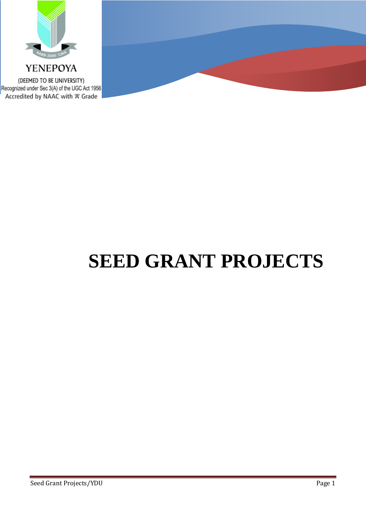

YENEPOYA (DEEMED TO BE UNIVERSITY) Recognized under Sec 3(A) of the UGC Act 1956 Accredited by NAAC with 'A' Grade

## **SEED GRANT PROJECTS**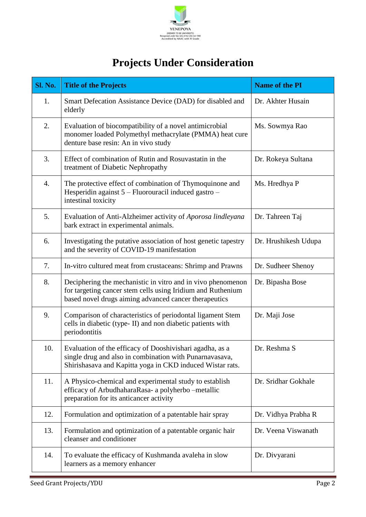

## **Projects Under Consideration**

| Sl. No. | <b>Title of the Projects</b>                                                                                                                                                        | Name of the PI       |
|---------|-------------------------------------------------------------------------------------------------------------------------------------------------------------------------------------|----------------------|
| 1.      | Smart Defecation Assistance Device (DAD) for disabled and<br>elderly                                                                                                                | Dr. Akhter Husain    |
| 2.      | Evaluation of biocompatibility of a novel antimicrobial<br>monomer loaded Polymethyl methacrylate (PMMA) heat cure<br>denture base resin: An in vivo study                          | Ms. Sowmya Rao       |
| 3.      | Effect of combination of Rutin and Rosuvastatin in the<br>treatment of Diabetic Nephropathy                                                                                         | Dr. Rokeya Sultana   |
| 4.      | The protective effect of combination of Thymoquinone and<br>Hesperidin against 5 - Fluorouracil induced gastro -<br>intestinal toxicity                                             | Ms. Hredhya P        |
| 5.      | Evaluation of Anti-Alzheimer activity of Aporosa lindleyana<br>bark extract in experimental animals.                                                                                | Dr. Tahreen Taj      |
| 6.      | Investigating the putative association of host genetic tapestry<br>and the severity of COVID-19 manifestation                                                                       | Dr. Hrushikesh Udupa |
| 7.      | In-vitro cultured meat from crustaceans: Shrimp and Prawns                                                                                                                          | Dr. Sudheer Shenoy   |
| 8.      | Deciphering the mechanistic in vitro and in vivo phenomenon<br>for targeting cancer stem cells using Iridium and Ruthenium<br>based novel drugs aiming advanced cancer therapeutics | Dr. Bipasha Bose     |
| 9.      | Comparison of characteristics of periodontal ligament Stem<br>cells in diabetic (type-II) and non diabetic patients with<br>periodontitis                                           | Dr. Maji Jose        |
| 10.     | Evaluation of the efficacy of Dooshivishari agadha, as a<br>single drug and also in combination with Punarnavasava,<br>Shirishasava and Kapitta yoga in CKD induced Wistar rats.    | Dr. Reshma S         |
| 11.     | A Physico-chemical and experimental study to establish<br>efficacy of ArbudhaharaRasa- a polyherbo -metallic<br>preparation for its anticancer activity                             | Dr. Sridhar Gokhale  |
| 12.     | Formulation and optimization of a patentable hair spray                                                                                                                             | Dr. Vidhya Prabha R  |
| 13.     | Formulation and optimization of a patentable organic hair<br>cleanser and conditioner                                                                                               | Dr. Veena Viswanath  |
| 14.     | To evaluate the efficacy of Kushmanda avaleha in slow<br>learners as a memory enhancer                                                                                              | Dr. Divyarani        |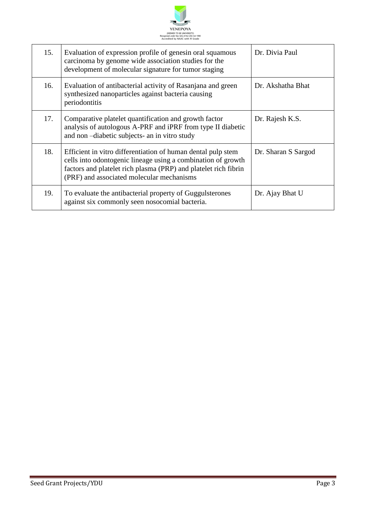

| 15. | Evaluation of expression profile of genesin oral squamous<br>carcinoma by genome wide association studies for the<br>development of molecular signature for tumor staging                                                                    | Dr. Divia Paul      |
|-----|----------------------------------------------------------------------------------------------------------------------------------------------------------------------------------------------------------------------------------------------|---------------------|
| 16. | Evaluation of antibacterial activity of Rasanjana and green<br>synthesized nanoparticles against bacteria causing<br>periodontitis                                                                                                           | Dr. Akshatha Bhat   |
| 17. | Comparative platelet quantification and growth factor<br>analysis of autologous A-PRF and iPRF from type II diabetic<br>and non-diabetic subjects- an in vitro study                                                                         | Dr. Rajesh K.S.     |
| 18. | Efficient in vitro differentiation of human dental pulp stem<br>cells into odontogenic lineage using a combination of growth<br>factors and platelet rich plasma (PRP) and platelet rich fibrin<br>(PRF) and associated molecular mechanisms | Dr. Sharan S Sargod |
| 19. | To evaluate the antibacterial property of Guggulsterones<br>against six commonly seen nosocomial bacteria.                                                                                                                                   | Dr. Ajay Bhat U     |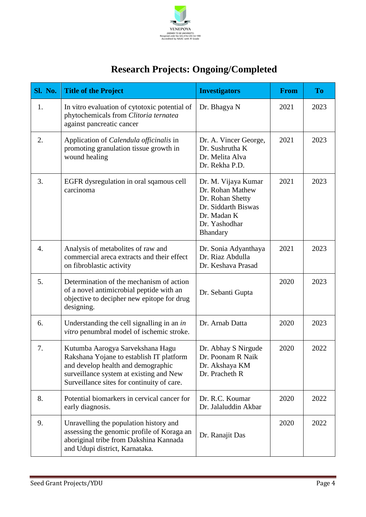

## **Research Projects: Ongoing/Completed**

| <b>Sl. No.</b>   | <b>Title of the Project</b>                                                                                                                                                                                 | <b>Investigators</b>                                                                                                           | <b>From</b> | <b>To</b> |
|------------------|-------------------------------------------------------------------------------------------------------------------------------------------------------------------------------------------------------------|--------------------------------------------------------------------------------------------------------------------------------|-------------|-----------|
| 1.               | In vitro evaluation of cytotoxic potential of<br>phytochemicals from Clitoria ternatea<br>against pancreatic cancer                                                                                         | Dr. Bhagya N                                                                                                                   | 2021        | 2023      |
| 2.               | Application of <i>Calendula officinalis</i> in<br>promoting granulation tissue growth in<br>wound healing                                                                                                   | Dr. A. Vincer George,<br>Dr. Sushrutha K<br>Dr. Melita Alva<br>Dr. Rekha P.D.                                                  | 2021        | 2023      |
| 3.               | EGFR dysregulation in oral sqamous cell<br>carcinoma                                                                                                                                                        | Dr. M. Vijaya Kumar<br>Dr. Rohan Mathew<br>Dr. Rohan Shetty<br>Dr. Siddarth Biswas<br>Dr. Madan K<br>Dr. Yashodhar<br>Bhandary | 2021        | 2023      |
| $\overline{4}$ . | Analysis of metabolites of raw and<br>commercial areca extracts and their effect<br>on fibroblastic activity                                                                                                | Dr. Sonia Adyanthaya<br>Dr. Riaz Abdulla<br>Dr. Keshava Prasad                                                                 | 2021        | 2023      |
| 5.               | Determination of the mechanism of action<br>of a novel antimicrobial peptide with an<br>objective to decipher new epitope for drug<br>designing.                                                            | Dr. Sebanti Gupta                                                                                                              | 2020        | 2023      |
| 6.               | Understanding the cell signalling in an in<br>vitro penumbral model of ischemic stroke.                                                                                                                     | Dr. Arnab Datta                                                                                                                | 2020        | 2023      |
| 7.               | Kutumba Aarogya Sarvekshana Hagu<br>Rakshana Yojane to establish IT platform<br>and develop health and demographic<br>surveillance system at existing and New<br>Surveillance sites for continuity of care. | Dr. Abhay S Nirgude<br>Dr. Poonam R Naik<br>Dr. Akshaya KM<br>Dr. Pracheth R                                                   | 2020        | 2022      |
| 8.               | Potential biomarkers in cervical cancer for<br>early diagnosis.                                                                                                                                             | Dr. R.C. Koumar<br>Dr. Jalaluddin Akbar                                                                                        | 2020        | 2022      |
| 9.               | Unravelling the population history and<br>assessing the genomic profile of Koraga an<br>aboriginal tribe from Dakshina Kannada<br>and Udupi district, Karnataka.                                            | Dr. Ranajit Das                                                                                                                | 2020        | 2022      |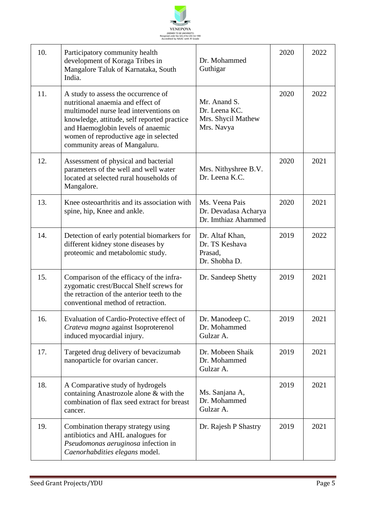

| 10. | Participatory community health<br>development of Koraga Tribes in<br>Mangalore Taluk of Karnataka, South<br>India.                                                                                                                                                               | Dr. Mohammed<br>Guthigar                                          | 2020 | 2022 |
|-----|----------------------------------------------------------------------------------------------------------------------------------------------------------------------------------------------------------------------------------------------------------------------------------|-------------------------------------------------------------------|------|------|
| 11. | A study to assess the occurrence of<br>nutritional anaemia and effect of<br>multimodel nurse lead interventions on<br>knowledge, attitude, self reported practice<br>and Haemoglobin levels of anaemic<br>women of reproductive age in selected<br>community areas of Mangaluru. | Mr. Anand S.<br>Dr. Leena KC.<br>Mrs. Shycil Mathew<br>Mrs. Navya | 2020 | 2022 |
| 12. | Assessment of physical and bacterial<br>parameters of the well and well water<br>located at selected rural households of<br>Mangalore.                                                                                                                                           | Mrs. Nithyshree B.V.<br>Dr. Leena K.C.                            | 2020 | 2021 |
| 13. | Knee osteoarthritis and its association with<br>spine, hip, Knee and ankle.                                                                                                                                                                                                      | Ms. Veena Pais<br>Dr. Devadasa Acharya<br>Dr. Imthiaz Ahammed     | 2020 | 2021 |
| 14. | Detection of early potential biomarkers for<br>different kidney stone diseases by<br>proteomic and metabolomic study.                                                                                                                                                            | Dr. Altaf Khan,<br>Dr. TS Keshava<br>Prasad,<br>Dr. Shobha D.     | 2019 | 2022 |
| 15. | Comparison of the efficacy of the infra-<br>zygomatic crest/Buccal Shelf screws for<br>the retraction of the anterior teeth to the<br>conventional method of retraction.                                                                                                         | Dr. Sandeep Shetty                                                | 2019 | 2021 |
| 16. | Evaluation of Cardio-Protective effect of<br>Crateva magna against Isoproterenol<br>induced myocardial injury.                                                                                                                                                                   | Dr. Manodeep C.<br>Dr. Mohammed<br>Gulzar A.                      | 2019 | 2021 |
| 17. | Targeted drug delivery of bevacizumab<br>nanoparticle for ovarian cancer.                                                                                                                                                                                                        | Dr. Mobeen Shaik<br>Dr. Mohammed<br>Gulzar A.                     | 2019 | 2021 |
| 18. | A Comparative study of hydrogels<br>containing Anastrozole alone & with the<br>combination of flax seed extract for breast<br>cancer.                                                                                                                                            | Ms. Sanjana A,<br>Dr. Mohammed<br>Gulzar A.                       | 2019 | 2021 |
| 19. | Combination therapy strategy using<br>antibiotics and AHL analogues for<br>Pseudomonas aeruginosa infection in<br>Caenorhabdities elegans model.                                                                                                                                 | Dr. Rajesh P Shastry                                              | 2019 | 2021 |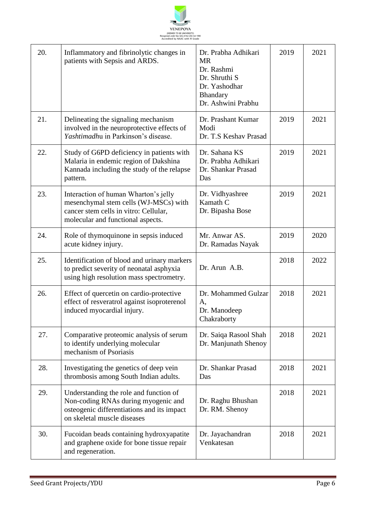

| 20. | Inflammatory and fibrinolytic changes in<br>patients with Sepsis and ARDS.                                                                                  | Dr. Prabha Adhikari<br><b>MR</b><br>Dr. Rashmi<br>Dr. Shruthi S<br>Dr. Yashodhar<br>Bhandary<br>Dr. Ashwini Prabhu | 2019 | 2021 |
|-----|-------------------------------------------------------------------------------------------------------------------------------------------------------------|--------------------------------------------------------------------------------------------------------------------|------|------|
| 21. | Delineating the signaling mechanism<br>involved in the neuroprotective effects of<br>Yashtimadhu in Parkinson's disease.                                    | Dr. Prashant Kumar<br>Modi<br>Dr. T.S Keshav Prasad                                                                | 2019 | 2021 |
| 22. | Study of G6PD deficiency in patients with<br>Malaria in endemic region of Dakshina<br>Kannada including the study of the relapse<br>pattern.                | Dr. Sahana KS<br>Dr. Prabha Adhikari<br>Dr. Shankar Prasad<br>Das                                                  | 2019 | 2021 |
| 23. | Interaction of human Wharton's jelly<br>mesenchymal stem cells (WJ-MSCs) with<br>cancer stem cells in vitro: Cellular,<br>molecular and functional aspects. | Dr. Vidhyashree<br>Kamath C<br>Dr. Bipasha Bose                                                                    | 2019 | 2021 |
| 24. | Role of thymoquinone in sepsis induced<br>acute kidney injury.                                                                                              | Mr. Anwar AS.<br>Dr. Ramadas Nayak                                                                                 | 2019 | 2020 |
| 25. | Identification of blood and urinary markers<br>to predict severity of neonatal asphyxia<br>using high resolution mass spectrometry.                         | Dr. Arun A.B.                                                                                                      | 2018 | 2022 |
| 26. | Effect of quercetin on cardio-protective<br>effect of resveratrol against isoproterenol<br>induced myocardial injury.                                       | Dr. Mohammed Gulzar<br>А,<br>Dr. Manodeep<br>Chakraborty                                                           | 2018 | 2021 |
| 27. | Comparative proteomic analysis of serum<br>to identify underlying molecular<br>mechanism of Psoriasis                                                       | Dr. Saiqa Rasool Shah<br>Dr. Manjunath Shenoy                                                                      | 2018 | 2021 |
| 28. | Investigating the genetics of deep vein<br>thrombosis among South Indian adults.                                                                            | Dr. Shankar Prasad<br>Das                                                                                          | 2018 | 2021 |
| 29. | Understanding the role and function of<br>Non-coding RNAs during myogenic and<br>osteogenic differentiations and its impact<br>on skeletal muscle diseases  | Dr. Raghu Bhushan<br>Dr. RM. Shenoy                                                                                | 2018 | 2021 |
| 30. | Fucoidan beads containing hydroxyapatite<br>and graphene oxide for bone tissue repair<br>and regeneration.                                                  | Dr. Jayachandran<br>Venkatesan                                                                                     | 2018 | 2021 |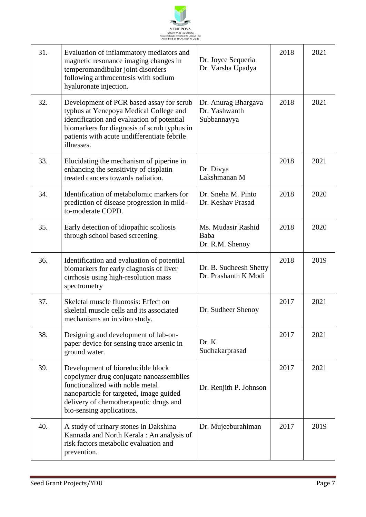

| 31. | Evaluation of inflammatory mediators and<br>magnetic resonance imaging changes in<br>temperomandibular joint disorders<br>following arthrocentesis with sodium<br>hyaluronate injection.                                                     | Dr. Joyce Sequeria<br>Dr. Varsha Upadya             | 2018 | 2021 |
|-----|----------------------------------------------------------------------------------------------------------------------------------------------------------------------------------------------------------------------------------------------|-----------------------------------------------------|------|------|
| 32. | Development of PCR based assay for scrub<br>typhus at Yenepoya Medical College and<br>identification and evaluation of potential<br>biomarkers for diagnosis of scrub typhus in<br>patients with acute undifferentiate febrile<br>illnesses. | Dr. Anurag Bhargava<br>Dr. Yashwanth<br>Subbannayya | 2018 | 2021 |
| 33. | Elucidating the mechanism of piperine in<br>enhancing the sensitivity of cisplatin<br>treated cancers towards radiation.                                                                                                                     | Dr. Divya<br>Lakshmanan M                           | 2018 | 2021 |
| 34. | Identification of metabolomic markers for<br>prediction of disease progression in mild-<br>to-moderate COPD.                                                                                                                                 | Dr. Sneha M. Pinto<br>Dr. Keshav Prasad             | 2018 | 2020 |
| 35. | Early detection of idiopathic scoliosis<br>through school based screening.                                                                                                                                                                   | Ms. Mudasir Rashid<br>Baba<br>Dr. R.M. Shenoy       | 2018 | 2020 |
| 36. | Identification and evaluation of potential<br>biomarkers for early diagnosis of liver<br>cirrhosis using high-resolution mass<br>spectrometry                                                                                                | Dr. B. Sudheesh Shetty<br>Dr. Prashanth K Modi      | 2018 | 2019 |
| 37. | Skeletal muscle fluorosis: Effect on<br>skeletal muscle cells and its associated<br>mechanisms an in vitro study.                                                                                                                            | Dr. Sudheer Shenoy                                  | 2017 | 2021 |
| 38. | Designing and development of lab-on-<br>paper device for sensing trace arsenic in<br>ground water.                                                                                                                                           | Dr. K.<br>Sudhakarprasad                            | 2017 | 2021 |
| 39. | Development of bioreducible block<br>copolymer drug conjugate nanoassemblies<br>functionalized with noble metal<br>nanoparticle for targeted, image guided<br>delivery of chemotherapeutic drugs and<br>bio-sensing applications.            | Dr. Renjith P. Johnson                              | 2017 | 2021 |
| 40. | A study of urinary stones in Dakshina<br>Kannada and North Kerala: An analysis of<br>risk factors metabolic evaluation and<br>prevention.                                                                                                    | Dr. Mujeeburahiman                                  | 2017 | 2019 |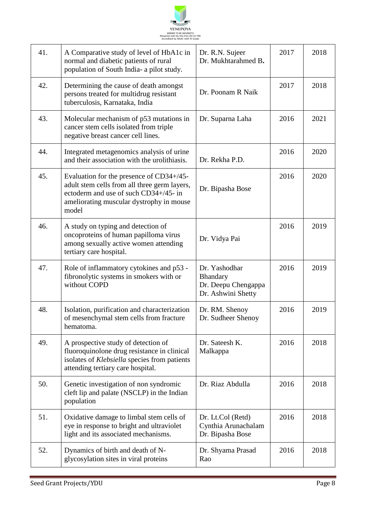

| 41. | A Comparative study of level of HbA1c in<br>normal and diabetic patients of rural<br>population of South India- a pilot study.                                                         | Dr. R.N. Sujeer<br>Dr. Mukhtarahmed B.                                 | 2017 | 2018 |
|-----|----------------------------------------------------------------------------------------------------------------------------------------------------------------------------------------|------------------------------------------------------------------------|------|------|
| 42. | Determining the cause of death amongst<br>persons treated for multidrug resistant<br>tuberculosis, Karnataka, India                                                                    | Dr. Poonam R Naik                                                      | 2017 | 2018 |
| 43. | Molecular mechanism of p53 mutations in<br>cancer stem cells isolated from triple<br>negative breast cancer cell lines.                                                                | Dr. Suparna Laha                                                       | 2016 | 2021 |
| 44. | Integrated metagenomics analysis of urine<br>and their association with the urolithiasis.                                                                                              | Dr. Rekha P.D.                                                         | 2016 | 2020 |
| 45. | Evaluation for the presence of CD34+/45-<br>adult stem cells from all three germ layers,<br>ectoderm and use of such CD34+/45- in<br>ameliorating muscular dystrophy in mouse<br>model | Dr. Bipasha Bose                                                       | 2016 | 2020 |
| 46. | A study on typing and detection of<br>oncoproteins of human papilloma virus<br>among sexually active women attending<br>tertiary care hospital.                                        | Dr. Vidya Pai                                                          | 2016 | 2019 |
| 47. | Role of inflammatory cytokines and p53 -<br>fibronolytic systems in smokers with or<br>without COPD                                                                                    | Dr. Yashodhar<br>Bhandary<br>Dr. Deepu Chengappa<br>Dr. Ashwini Shetty | 2016 | 2019 |
| 48. | Isolation, purification and characterization<br>of mesenchymal stem cells from fracture<br>hematoma.                                                                                   | Dr. RM. Shenoy<br>Dr. Sudheer Shenoy                                   | 2016 | 2019 |
| 49. | A prospective study of detection of<br>fluoroquinolone drug resistance in clinical<br>isolates of Klebsiella species from patients<br>attending tertiary care hospital.                | Dr. Sateesh K.<br>Malkappa                                             | 2016 | 2018 |
| 50. | Genetic investigation of non syndromic<br>cleft lip and palate (NSCLP) in the Indian<br>population                                                                                     | Dr. Riaz Abdulla                                                       | 2016 | 2018 |
| 51. | Oxidative damage to limbal stem cells of<br>eye in response to bright and ultraviolet<br>light and its associated mechanisms.                                                          | Dr. Lt.Col (Retd)<br>Cynthia Arunachalam<br>Dr. Bipasha Bose           | 2016 | 2018 |
| 52. | Dynamics of birth and death of N-<br>glycosylation sites in viral proteins                                                                                                             | Dr. Shyama Prasad<br>Rao                                               | 2016 | 2018 |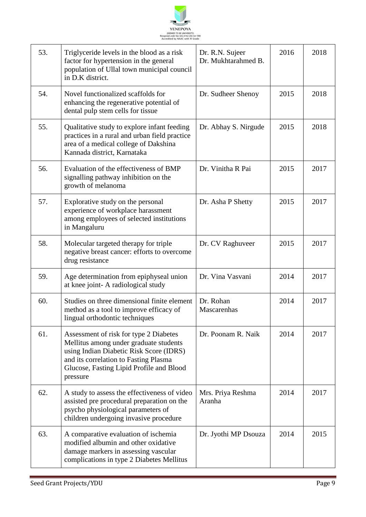

| 53. | Triglyceride levels in the blood as a risk<br>factor for hypertension in the general<br>population of Ullal town municipal council<br>in D.K district.                                                                       | Dr. R.N. Sujeer<br>Dr. Mukhtarahmed B. | 2016 | 2018 |
|-----|------------------------------------------------------------------------------------------------------------------------------------------------------------------------------------------------------------------------------|----------------------------------------|------|------|
| 54. | Novel functionalized scaffolds for<br>enhancing the regenerative potential of<br>dental pulp stem cells for tissue                                                                                                           | Dr. Sudheer Shenoy                     | 2015 | 2018 |
| 55. | Qualitative study to explore infant feeding<br>practices in a rural and urban field practice<br>area of a medical college of Dakshina<br>Kannada district, Karnataka                                                         | Dr. Abhay S. Nirgude                   | 2015 | 2018 |
| 56. | Evaluation of the effectiveness of BMP<br>signalling pathway inhibition on the<br>growth of melanoma                                                                                                                         | Dr. Vinitha R Pai                      | 2015 | 2017 |
| 57. | Explorative study on the personal<br>experience of workplace harassment<br>among employees of selected institutions<br>in Mangaluru                                                                                          | Dr. Asha P Shetty                      | 2015 | 2017 |
| 58. | Molecular targeted therapy for triple<br>negative breast cancer: efforts to overcome<br>drug resistance                                                                                                                      | Dr. CV Raghuveer                       | 2015 | 2017 |
| 59. | Age determination from epiphyseal union<br>at knee joint- A radiological study                                                                                                                                               | Dr. Vina Vasvani                       | 2014 | 2017 |
| 60. | Studies on three dimensional finite element<br>method as a tool to improve efficacy of<br>lingual orthodontic techniques                                                                                                     | Dr. Rohan<br>Mascarenhas               | 2014 | 2017 |
| 61. | Assessment of risk for type 2 Diabetes<br>Mellitus among under graduate students<br>using Indian Diabetic Risk Score (IDRS)<br>and its correlation to Fasting Plasma<br>Glucose, Fasting Lipid Profile and Blood<br>pressure | Dr. Poonam R. Naik                     | 2014 | 2017 |
| 62. | A study to assess the effectiveness of video<br>assisted pre procedural preparation on the<br>psycho physiological parameters of<br>children undergoing invasive procedure                                                   | Mrs. Priya Reshma<br>Aranha            | 2014 | 2017 |
| 63. | A comparative evaluation of ischemia<br>modified albumin and other oxidative<br>damage markers in assessing vascular<br>complications in type 2 Diabetes Mellitus                                                            | Dr. Jyothi MP Dsouza                   | 2014 | 2015 |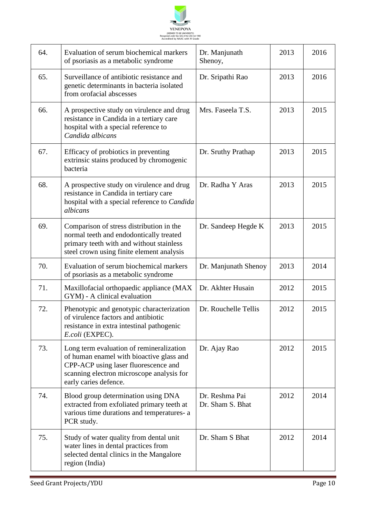

| 64. | Evaluation of serum biochemical markers<br>of psoriasis as a metabolic syndrome                                                                                                                    | Dr. Manjunath<br>Shenoy,           | 2013 | 2016 |
|-----|----------------------------------------------------------------------------------------------------------------------------------------------------------------------------------------------------|------------------------------------|------|------|
| 65. | Surveillance of antibiotic resistance and<br>genetic determinants in bacteria isolated<br>from orofacial abscesses                                                                                 | Dr. Sripathi Rao                   | 2013 | 2016 |
| 66. | A prospective study on virulence and drug<br>resistance in Candida in a tertiary care<br>hospital with a special reference to<br>Candida albicans                                                  | Mrs. Faseela T.S.                  | 2013 | 2015 |
| 67. | Efficacy of probiotics in preventing<br>extrinsic stains produced by chromogenic<br>bacteria                                                                                                       | Dr. Sruthy Prathap                 | 2013 | 2015 |
| 68. | A prospective study on virulence and drug<br>resistance in Candida in tertiary care<br>hospital with a special reference to Candida<br>albicans                                                    | Dr. Radha Y Aras                   | 2013 | 2015 |
| 69. | Comparison of stress distribution in the<br>normal teeth and endodontically treated<br>primary teeth with and without stainless<br>steel crown using finite element analysis                       | Dr. Sandeep Hegde K                | 2013 | 2015 |
| 70. | Evaluation of serum biochemical markers<br>of psoriasis as a metabolic syndrome                                                                                                                    | Dr. Manjunath Shenoy               | 2013 | 2014 |
| 71. | Maxillofacial orthopaedic appliance (MAX<br>GYM) - A clinical evaluation                                                                                                                           | Dr. Akhter Husain                  | 2012 | 2015 |
| 72. | Phenotypic and genotypic characterization<br>of virulence factors and antibiotic<br>resistance in extra intestinal pathogenic<br>E.coli (EXPEC).                                                   | Dr. Rouchelle Tellis               | 2012 | 2015 |
| 73. | Long term evaluation of remineralization<br>of human enamel with bioactive glass and<br>CPP-ACP using laser fluorescence and<br>scanning electron microscope analysis for<br>early caries defence. | Dr. Ajay Rao                       | 2012 | 2015 |
| 74. | Blood group determination using DNA<br>extracted from exfoliated primary teeth at<br>various time durations and temperatures- a<br>PCR study.                                                      | Dr. Reshma Pai<br>Dr. Sham S. Bhat | 2012 | 2014 |
| 75. | Study of water quality from dental unit<br>water lines in dental practices from<br>selected dental clinics in the Mangalore<br>region (India)                                                      | Dr. Sham S Bhat                    | 2012 | 2014 |